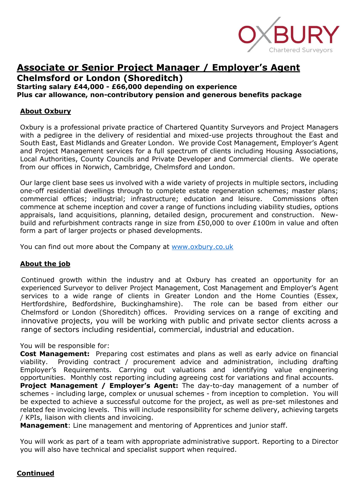

**Chelmsford or London (Shoreditch)**

**Starting salary £44,000 - £66,000 depending on experience**

**Plus car allowance, non-contributory pension and generous benefits package**

#### **About Oxbury**

Oxbury is a professional private practice of Chartered Quantity Surveyors and Project Managers with a pedigree in the delivery of residential and mixed-use projects throughout the East and South East, East Midlands and Greater London. We provide Cost Management, Employer's Agent and Project Management services for a full spectrum of clients including Housing Associations, Local Authorities, County Councils and Private Developer and Commercial clients. We operate from our offices in Norwich, Cambridge, Chelmsford and London.

Our large client base sees us involved with a wide variety of projects in multiple sectors, including one-off residential dwellings through to complete estate regeneration schemes; master plans; commercial offices; industrial; infrastructure; education and leisure. Commissions often commence at scheme inception and cover a range of functions including viability studies, options appraisals, land acquisitions, planning, detailed design, procurement and construction. Newbuild and refurbishment contracts range in size from £50,000 to over £100m in value and often form a part of larger projects or phased developments.

You can find out more about the Company at [www.oxbury.co.uk](http://www.oxbury.co.uk/)

#### **About the job**

Continued growth within the industry and at Oxbury has created an opportunity for an experienced Surveyor to deliver Project Management, Cost Management and Employer's Agent services to a wide range of clients in Greater London and the Home Counties (Essex, Hertfordshire, Bedfordshire, Buckinghamshire). The role can be based from either our Chelmsford or London (Shoreditch) offices. Providing services on a range of exciting and innovative projects, you will be working with public and private sector clients across a range of sectors including residential, commercial, industrial and education.

#### You will be responsible for:

**Cost Management:** Preparing cost estimates and plans as well as early advice on financial viability. Providing contract / procurement advice and administration, including drafting Employer's Requirements. Carrying out valuations and identifying value engineering opportunities. Monthly cost reporting including agreeing cost for variations and final accounts.

**Project Management / Employer's Agent:** The day-to-day management of a number of schemes - including large, complex or unusual schemes - from inception to completion. You will be expected to achieve a successful outcome for the project, as well as pre-set milestones and related fee invoicing levels. This will include responsibility for scheme delivery, achieving targets / KPIs, liaison with clients and invoicing.

**Management**: Line management and mentoring of Apprentices and junior staff.

You will work as part of a team with appropriate administrative support. Reporting to a Director you will also have technical and specialist support when required.

#### **Continued**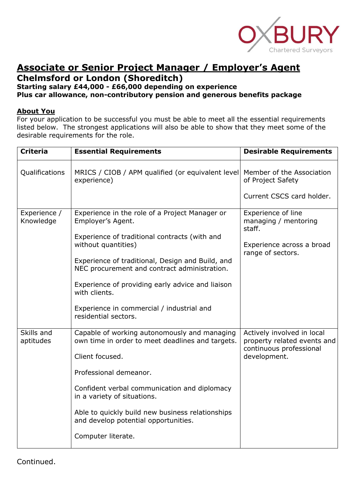

### **Chelmsford or London (Shoreditch)**

### **Starting salary £44,000 - £66,000 depending on experience**

**Plus car allowance, non-contributory pension and generous benefits package**

#### **About You**

For your application to be successful you must be able to meet all the essential requirements listed below. The strongest applications will also be able to show that they meet some of the desirable requirements for the role.

| <b>Criteria</b>           | <b>Essential Requirements</b>                                                                    | <b>Desirable Requirements</b>                                                                        |
|---------------------------|--------------------------------------------------------------------------------------------------|------------------------------------------------------------------------------------------------------|
| Qualifications            | MRICS / CIOB / APM qualified (or equivalent level<br>experience)                                 | Member of the Association<br>of Project Safety                                                       |
|                           |                                                                                                  | Current CSCS card holder.                                                                            |
| Experience /<br>Knowledge | Experience in the role of a Project Manager or<br>Employer's Agent.                              | Experience of line<br>managing / mentoring<br>staff.                                                 |
|                           | Experience of traditional contracts (with and<br>without quantities)                             | Experience across a broad<br>range of sectors.                                                       |
|                           | Experience of traditional, Design and Build, and<br>NEC procurement and contract administration. |                                                                                                      |
|                           | Experience of providing early advice and liaison<br>with clients.                                |                                                                                                      |
|                           | Experience in commercial / industrial and<br>residential sectors.                                |                                                                                                      |
| Skills and<br>aptitudes   | Capable of working autonomously and managing<br>own time in order to meet deadlines and targets. | Actively involved in local<br>property related events and<br>continuous professional<br>development. |
|                           | Client focused.                                                                                  |                                                                                                      |
|                           | Professional demeanor.                                                                           |                                                                                                      |
|                           | Confident verbal communication and diplomacy<br>in a variety of situations.                      |                                                                                                      |
|                           | Able to quickly build new business relationships<br>and develop potential opportunities.         |                                                                                                      |
|                           | Computer literate.                                                                               |                                                                                                      |

Continued.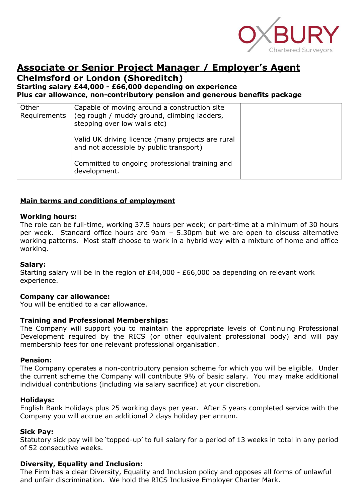

### **Chelmsford or London (Shoreditch)**

**Starting salary £44,000 - £66,000 depending on experience**

**Plus car allowance, non-contributory pension and generous benefits package**

| Other<br>Requirements | Capable of moving around a construction site<br>(eg rough / muddy ground, climbing ladders,<br>stepping over low walls etc) |  |
|-----------------------|-----------------------------------------------------------------------------------------------------------------------------|--|
|                       | Valid UK driving licence (many projects are rural<br>and not accessible by public transport)                                |  |
|                       | Committed to ongoing professional training and<br>development.                                                              |  |

#### **Main terms and conditions of employment**

#### **Working hours:**

The role can be full-time, working 37.5 hours per week; or part-time at a minimum of 30 hours per week. Standard office hours are 9am – 5.30pm but we are open to discuss alternative working patterns. Most staff choose to work in a hybrid way with a mixture of home and office working.

#### **Salary:**

Starting salary will be in the region of £44,000 - £66,000 pa depending on relevant work experience.

#### **Company car allowance:**

You will be entitled to a car allowance.

#### **Training and Professional Memberships:**

The Company will support you to maintain the appropriate levels of Continuing Professional Development required by the RICS (or other equivalent professional body) and will pay membership fees for one relevant professional organisation.

#### **Pension:**

The Company operates a non-contributory pension scheme for which you will be eligible. Under the current scheme the Company will contribute 9% of basic salary. You may make additional individual contributions (including via salary sacrifice) at your discretion.

#### **Holidays:**

English Bank Holidays plus 25 working days per year. After 5 years completed service with the Company you will accrue an additional 2 days holiday per annum.

#### **Sick Pay:**

Statutory sick pay will be 'topped-up' to full salary for a period of 13 weeks in total in any period of 52 consecutive weeks.

#### **Diversity, Equality and Inclusion:**

The Firm has a clear Diversity, Equality and Inclusion policy and opposes all forms of unlawful and unfair discrimination. We hold the RICS Inclusive Employer Charter Mark.